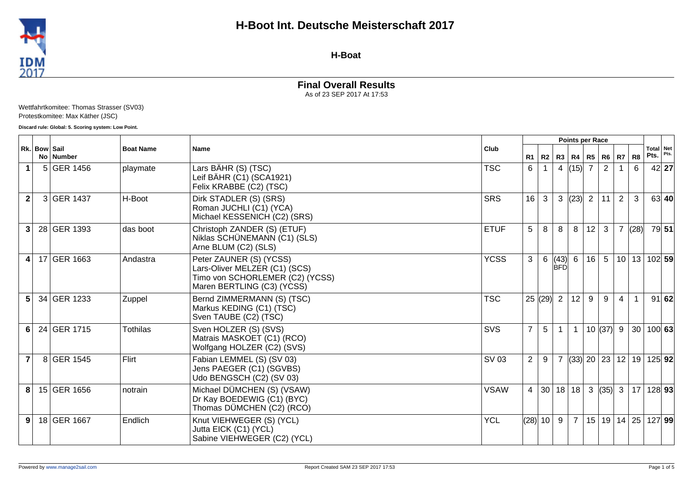

**H-Boat**

# **Final Overall Results**

As of 23 SEP 2017 At 17:53

Wettfahrtkomitee: Thomas Strasser (SV03) Protestkomitee: Max Käther (JSC)

**Discard rule: Global: 5. Scoring system: Low Point.**

|                 |              |             |                  |                                                                                                                           |             |                |                 |                    | <b>Points per Race</b>                     |                |                |                |      |                              |         |
|-----------------|--------------|-------------|------------------|---------------------------------------------------------------------------------------------------------------------------|-------------|----------------|-----------------|--------------------|--------------------------------------------|----------------|----------------|----------------|------|------------------------------|---------|
|                 | Rk. Bow Sail | No   Number | <b>Boat Name</b> | <b>Name</b>                                                                                                               | Club        |                | $R1$ R2         |                    | R3   R4   R5   R6   R7                     |                |                |                | R8   | Total Net<br>Pts.            | Pts.    |
| $\mathbf 1$     |              | 5 GER 1456  | playmate         | Lars BÄHR (S) (TSC)<br>Leif BÄHR (C1) (SCA1921)<br>Felix KRABBE (C2) (TSC)                                                | <b>TSC</b>  | 6              |                 |                    | 4 $ (15)$ 7                                |                | 2              |                | 6    |                              | 42 27   |
| $\overline{2}$  |              | 3 GER 1437  | H-Boot           | Dirk STADLER (S) (SRS)<br>Roman JUCHLI (C1) (YCA)<br>Michael KESSENICH (C2) (SRS)                                         | <b>SRS</b>  | 16             | 3               |                    | 3  (23)                                    | $\overline{2}$ | 11             | $\overline{2}$ | 3    |                              | 63   40 |
| 3               |              | 28 GER 1393 | das boot         | Christoph ZANDER (S) (ETUF)<br>Niklas SCHÜNEMANN (C1) (SLS)<br>Arne BLUM (C2) (SLS)                                       | <b>ETUF</b> | 5              | 8               | 8                  | 8                                          | 12             | 3              | $\overline{7}$ | (28) |                              | 79 51   |
| $\vert$ 4       |              | 17 GER 1663 | Andastra         | Peter ZAUNER (S) (YCSS)<br>Lars-Oliver MELZER (C1) (SCS)<br>Timo von SCHORLEMER (C2) (YCSS)<br>Maren BERTLING (C3) (YCSS) | <b>YCSS</b> | 3              | 6               | (43)<br><b>BFD</b> | 6                                          | 16             | 5 <sup>5</sup> |                |      | 10 13 102 59                 |         |
| $5\phantom{.0}$ |              | 34 GER 1233 | Zuppel           | Bernd ZIMMERMANN (S) (TSC)<br>Markus KEDING (C1) (TSC)<br>Sven TAUBE (C2) (TSC)                                           | <b>TSC</b>  |                | 25   (29)       | $\overline{2}$     | 12                                         | 9              | 9              | $\overline{4}$ |      |                              | 91 62   |
| 6               |              | 24 GER 1715 | Tothilas         | Sven HOLZER (S) (SVS)<br>Matrais MASKOET (C1) (RCO)<br>Wolfgang HOLZER (C2) (SVS)                                         | SVS         | $\overline{7}$ | $5\phantom{.0}$ | $\mathbf{1}$       | $\mathbf{1}$                               |                | 10  (37)       | 9              |      | 30 100 63                    |         |
| $\overline{7}$  |              | 8 GER 1545  | Flirt            | Fabian LEMMEL (S) (SV 03)<br>Jens PAEGER (C1) (SGVBS)<br>Udo BENGSCH (C2) (SV 03)                                         | SV 03       | $\overline{2}$ | 9               | $\overline{7}$     | $\vert$ (33) $\vert$ 20 $\vert$ 23 $\vert$ |                |                | 12             |      | 19 125 92                    |         |
| 8               |              | 15 GER 1656 | notrain          | Michael DÜMCHEN (S) (VSAW)<br>Dr Kay BOEDEWIG (C1) (BYC)<br>Thomas DÜMCHEN (C2) (RCO)                                     | <b>VSAW</b> | 4              | 30              | 18                 | 18 <sup>1</sup>                            | $\mathbf{3}$   | (35)           | $\mathbf{3}$   | 17   | 128 93                       |         |
| 9               |              | 18 GER 1667 | Endlich          | Knut VIEHWEGER (S) (YCL)<br>Jutta EICK (C1) (YCL)<br>Sabine VIEHWEGER (C2) (YCL)                                          | <b>YCL</b>  |                | (28) 10         | 9                  | $\overline{7}$                             |                |                |                |      | 15   19   14   25   127   99 |         |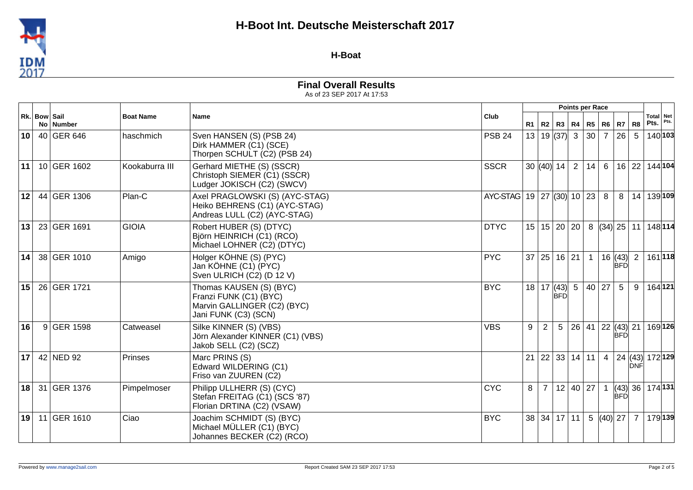

#### **H-Boat**

|                 |              |             |                  |                                                                                                          |                        |    |                    |            | Points per Race |                 |                |                          |                |                   |      |
|-----------------|--------------|-------------|------------------|----------------------------------------------------------------------------------------------------------|------------------------|----|--------------------|------------|-----------------|-----------------|----------------|--------------------------|----------------|-------------------|------|
|                 | Rk. Bow Sail | No   Number | <b>Boat Name</b> | <b>Name</b>                                                                                              | Club                   | R1 | R <sub>2</sub>     |            | R3   R4         |                 | $R5$ $R6$ $R7$ |                          | R <sub>8</sub> | Total Net<br>Pts. | Pts. |
| 10 <sup>1</sup> |              | 40 GER 646  | haschmich        | Sven HANSEN (S) (PSB 24)<br>Dirk HAMMER (C1) (SCE)<br>Thorpen SCHULT (C2) (PSB 24)                       | <b>PSB 24</b>          |    | 13   19   (37)   3 |            |                 | 30              |                | $7 \mid 26$              | 5              | 140 103           |      |
| 11              |              | 10 GER 1602 | Kookaburra III   | Gerhard MIETHE (S) (SSCR)<br>Christoph SIEMER (C1) (SSCR)<br>Ludger JOKISCH (C2) (SWCV)                  | <b>SSCR</b>            |    | 30 $ (40) $ 14     |            | 2               | 14              |                | 6 16 22                  |                | 144 104           |      |
| 12              |              | 44 GER 1306 | Plan-C           | Axel PRAGLOWSKI (S) (AYC-STAG)<br>Heiko BEHRENS (C1) (AYC-STAG)<br>Andreas LULL (C2) (AYC-STAG)          | AYC-STAG 19 27 (30) 10 |    |                    |            |                 | 23              | 8              | 8                        | 14             | 139 109           |      |
| 13              |              | 23 GER 1691 | <b>GIOIA</b>     | Robert HUBER (S) (DTYC)<br>Björn HEINRICH (C1) (RCO)<br>Michael LOHNER (C2) (DTYC)                       | <b>DTYC</b>            |    | 15 15 20 20        |            |                 | 8               |                | $(34)$ 25 11             |                | 148 114           |      |
| 14              |              | 38 GER 1010 | Amigo            | Holger KÖHNE (S) (PYC)<br>Jan KÖHNE (C1) (PYC)<br>Sven ULRICH (C2) (D 12 V)                              | <b>PYC</b>             |    | 37 25              | 16 21      |                 | $\mathbf{1}$    |                | 16  (43) <br><b>BFD</b>  | $\overline{2}$ | 161 118           |      |
| 15              |              | 26 GER 1721 |                  | Thomas KAUSEN (S) (BYC)<br>Franzi FUNK (C1) (BYC)<br>Marvin GALLINGER (C2) (BYC)<br>Jani FUNK (C3) (SCN) | <b>BYC</b>             |    | 18   17   (43)     | <b>BED</b> | 5               | 40              | 27             | 5                        | 9              | 164 121           |      |
| 16              |              | 9 GER 1598  | Catweasel        | Silke KINNER (S) (VBS)<br>Jörn Alexander KINNER (C1) (VBS)<br>Jakob SELL (C2) (SCZ)                      | <b>VBS</b>             | 9  | $\overline{2}$     | 5          | 26 41           |                 |                | 22 (43) 21<br><b>BFD</b> |                | 169 126           |      |
| 17 <sup>1</sup> |              | 42 NED 92   | Prinses          | Marc PRINS (S)<br>Edward WILDERING (C1)<br>Friso van ZUUREN (C2)                                         |                        | 21 | 22                 | 33         | 14 11           |                 | 4 <sup>1</sup> | $ 24 $ (43)              | IDNF           | 172 129           |      |
| 18 <sup>1</sup> |              | 31 GER 1376 | Pimpelmoser      | Philipp ULLHERR (S) (CYC)<br>Stefan FREITAG (C1) (SCS '87)<br>Florian DRTINA (C2) (VSAW)                 | <b>CYC</b>             | 8  | $\overline{7}$     |            | 12 40 27        |                 | $\mathbf{1}$   | (43) 36 <br><b>BFD</b>   |                | 174 131           |      |
| 19 <sup>1</sup> |              | 11 GER 1610 | Ciao             | Joachim SCHMIDT (S) (BYC)<br>Michael MÜLLER (C1) (BYC)<br>Johannes BECKER (C2) (RCO)                     | <b>BYC</b>             |    | 38 34 17 11        |            |                 | $5\overline{)}$ |                | $(40)$ 27                | $\overline{7}$ | 179 139           |      |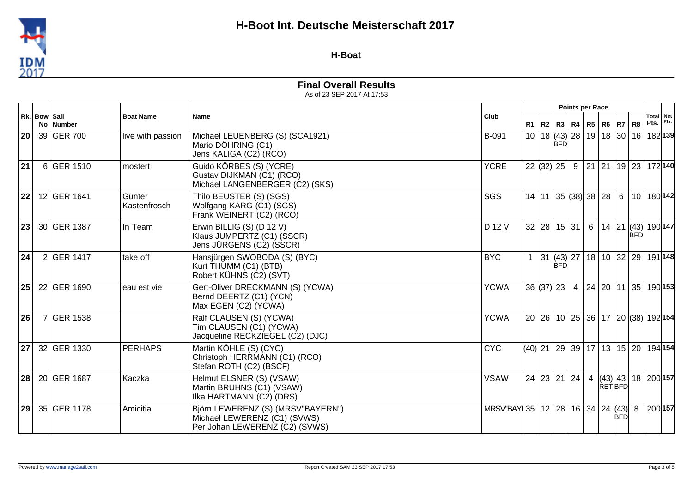

#### **H-Boat**

|                 |              |             |                        |                                                                                                     |                                                 |           |         |              | Points per Race        |                |         |               |            |                                                              |      |
|-----------------|--------------|-------------|------------------------|-----------------------------------------------------------------------------------------------------|-------------------------------------------------|-----------|---------|--------------|------------------------|----------------|---------|---------------|------------|--------------------------------------------------------------|------|
|                 | Rk. Bow Sail | No   Number | <b>Boat Name</b>       | <b>Name</b>                                                                                         | Club                                            |           | $R1$ R2 |              | R3   R4   R5   R6   R7 |                |         |               | R8         | Total Net<br>Pts.                                            | Pts. |
| 20              |              | 39 GER 700  | live with passion      | Michael LEUENBERG (S) (SCA1921)<br>Mario DÖHRING (C1)<br>Jens KALIGA (C2) (RCO)                     | B-091                                           |           |         | <b>BFD</b>   |                        |                |         |               |            | 10   18   (43)   28   19   18   30   16   18   139           |      |
| 21              |              | 6 GER 1510  | mostert                | Guido KÖRBES (S) (YCRE)<br>Gustav DIJKMAN (C1) (RCO)<br>Michael LANGENBERGER (C2) (SKS)             | <b>YCRE</b>                                     |           |         |              | 22  (32)  25   9       |                |         |               |            | 21   21   19   23   172   140                                |      |
| 22              |              | 12 GER 1641 | Günter<br>Kastenfrosch | Thilo BEUSTER (S) (SGS)<br>Wolfgang KARG (C1) (SGS)<br>Frank WEINERT (C2) (RCO)                     | SGS                                             |           | 14 11   |              | $ 35 $ (38) 38 $ 28 $  |                |         | 6             |            | 10   180   142                                               |      |
| 23              |              | 30 GER 1387 | In Team                | Erwin BILLIG (S) (D 12 V)<br>Klaus JUMPERTZ (C1) (SSCR)<br>Jens JÜRGENS (C2) (SSCR)                 | D 12 V                                          |           |         |              | 32 28 15 31 6          |                | $14$ 21 |               | <b>BFD</b> | $\left  (43) \right  190   147$                              |      |
| 24              |              | 2 GER 1417  | take off               | Hansjürgen SWOBODA (S) (BYC)<br>Kurt THUMM (C1) (BTB)<br>Robert KÜHNS (C2) (SVT)                    | <b>BYC</b>                                      | 1         | 31      | <b>BFD</b>   |                        |                |         |               |            | $ (43) $ 27   18   10   32   29   191 148                    |      |
| 25 <sub>1</sub> |              | 22 GER 1690 | eau est vie            | Gert-Oliver DRECKMANN (S) (YCWA)<br>Bernd DEERTZ (C1) (YCN)<br>Max EGEN (C2) (YCWA)                 | <b>YCWA</b>                                     |           |         | 36  (37)  23 | $\overline{4}$         |                | 24 20   | 11            |            | 35 190 153                                                   |      |
| 26              |              | 7 GER 1538  |                        | Ralf CLAUSEN (S) (YCWA)<br>Tim CLAUSEN (C1) (YCWA)<br>Jacqueline RECKZIEGEL (C2) (DJC)              | <b>YCWA</b>                                     |           |         |              |                        |                |         |               |            | 20   26   10   25   36   17   20   (38)   192   154          |      |
| 27              |              | 32 GER 1330 | <b>PERHAPS</b>         | Martin KÖHLE (S) (CYC)<br>Christoph HERRMANN (C1) (RCO)<br>Stefan ROTH (C2) (BSCF)                  | <b>CYC</b>                                      | $(40)$ 21 |         |              |                        |                |         |               |            | <sup>∣</sup> 29   39   17   13   15   20   194∣ <b>154</b> ∣ |      |
| 28              |              | 20 GER 1687 | Kaczka                 | Helmut ELSNER (S) (VSAW)<br>Martin BRUHNS (C1) (VSAW)<br>Ilka HARTMANN (C2) (DRS)                   | <b>VSAW</b>                                     |           |         |              | 24   23   21   24      | $\overline{4}$ |         | <b>RETBFD</b> |            | $ (43) $ 43   18   200 157                                   |      |
| 29 <sub>1</sub> |              | 35 GER 1178 | Amicitia               | Björn LEWERENZ (S) (MRSV"BAYERN")<br>Michael LEWERENZ (C1) (SVWS)<br>Per Johan LEWERENZ (C2) (SVWS) | MRSV"BAY 35   12   28   16   34   24   (43)   8 |           |         |              |                        |                |         | <b>BFD</b>    |            | 200 157                                                      |      |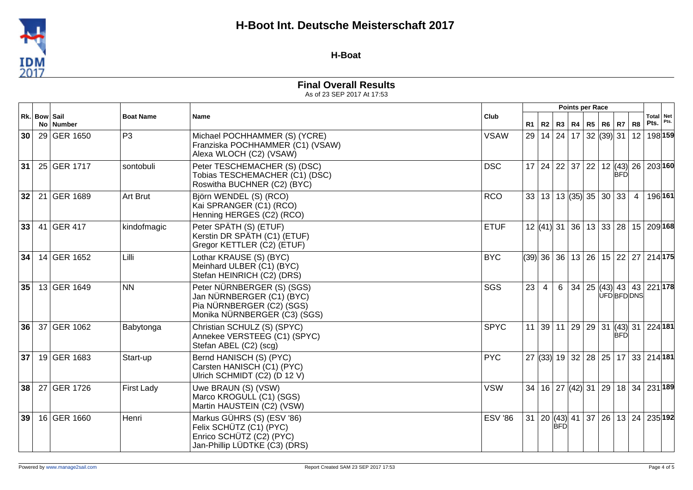

#### **H-Boat**

|                 |              |             |                                 |                                                                                                                      |                |    |                |            | <b>Points per Race</b> |  |                                          |                   |                                                                 |  |
|-----------------|--------------|-------------|---------------------------------|----------------------------------------------------------------------------------------------------------------------|----------------|----|----------------|------------|------------------------|--|------------------------------------------|-------------------|-----------------------------------------------------------------|--|
|                 | Rk. Bow Sail | No Number   | <b>Boat Name</b><br><b>Name</b> | Club                                                                                                                 | R <sub>1</sub> | R2 |                |            | R3   R4   R5   R6   R7 |  | R8                                       | Total Net<br>Pts. | Pts.                                                            |  |
| 30 <sup>1</sup> |              | 29 GER 1650 | P <sub>3</sub>                  | Michael POCHHAMMER (S) (YCRE)<br>Franziska POCHHAMMER (C1) (VSAW)<br>Alexa WLOCH (C2) (VSAW)                         | <b>VSAW</b>    |    |                |            |                        |  |                                          |                   | 29   14   24   17   32   (39)   31   12   198   159             |  |
| 31              |              | 25 GER 1717 | sontobuli                       | Peter TESCHEMACHER (S) (DSC)<br>Tobias TESCHEMACHER (C1) (DSC)<br>Roswitha BUCHNER (C2) (BYC)                        | <b>DSC</b>     |    |                |            |                        |  | <b>BFD</b>                               |                   | 17 24 22 37 22 12 (43) 26 203 160                               |  |
| 32              |              | 21 GER 1689 | <b>Art Brut</b>                 | Björn WENDEL (S) (RCO)<br>Kai SPRANGER (C1) (RCO)<br>Henning HERGES (C2) (RCO)                                       | <b>RCO</b>     |    |                |            |                        |  | $33   13   13   (35)   35   30   33   4$ |                   | 196 161                                                         |  |
| 33              |              | 41 GER 417  | kindofmagic                     | Peter SPÄTH (S) (ETUF)<br>Kerstin DR SPÄTH (C1) (ETUF)<br>Gregor KETTLER (C2) (ETUF)                                 | <b>ETUF</b>    |    |                |            |                        |  |                                          |                   | $12$ (41) 31 36 13 33 28 15 209 168                             |  |
| 34              |              | 14 GER 1652 | Lilli                           | Lothar KRAUSE (S) (BYC)<br>Meinhard ULBER (C1) (BYC)<br>Stefan HEINRICH (C2) (DRS)                                   | <b>BYC</b>     |    |                |            |                        |  |                                          |                   | $(39)$   36   36   13   26   15   22   27   214   175           |  |
| 35              |              | 13 GER 1649 | <b>NN</b>                       | Peter NÜRNBERGER (S) (SGS)<br>Jan NÜRNBERGER (C1) (BYC)<br>Pia NÜRNBERGER (C2) (SGS)<br>Monika NÜRNBERGER (C3) (SGS) | SGS            | 23 | $\overline{4}$ |            |                        |  | UFDBFDDNS                                |                   | $6 \mid 34 \mid 25 \mid (43) \mid 43 \mid 43 \mid 221 \mid 178$ |  |
| 36              |              | 37 GER 1062 | Babytonga                       | Christian SCHULZ (S) (SPYC)<br>Annekee VERSTEEG (C1) (SPYC)<br>Stefan ABEL (C2) (scg)                                | <b>SPYC</b>    |    |                |            |                        |  | <b>BFD</b>                               |                   | 11   39   11   29   29   31   (43)   31   224   181             |  |
| 37 <sup>2</sup> |              | 19 GER 1683 | Start-up                        | Bernd HANISCH (S) (PYC)<br>Carsten HANISCH (C1) (PYC)<br>Ulrich SCHMIDT (C2) (D 12 V)                                | <b>PYC</b>     |    |                |            |                        |  |                                          |                   | 27 (33) 19 32 28 25 17 33 214 181                               |  |
| 38 <sup>1</sup> |              | 27 GER 1726 | <b>First Lady</b>               | Uwe BRAUN (S) (VSW)<br>Marco KROGULL (C1) (SGS)<br>Martin HAUSTEIN (C2) (VSW)                                        | <b>VSW</b>     |    |                |            |                        |  |                                          |                   | $34   16   27   (42)   31   29   18   34   231   189$           |  |
| 39 <sup>1</sup> |              | 16 GER 1660 | Henri                           | Markus GÜHRS (S) (ESV '86)<br>Felix SCHÜTZ (C1) (PYC)<br>Enrico SCHÜTZ (C2) (PYC)<br>Jan-Phillip LÜDTKE (C3) (DRS)   | <b>ESV '86</b> |    |                | <b>BFD</b> |                        |  |                                          |                   | 31   20   (43)   41   37   26   13   24   235 192               |  |